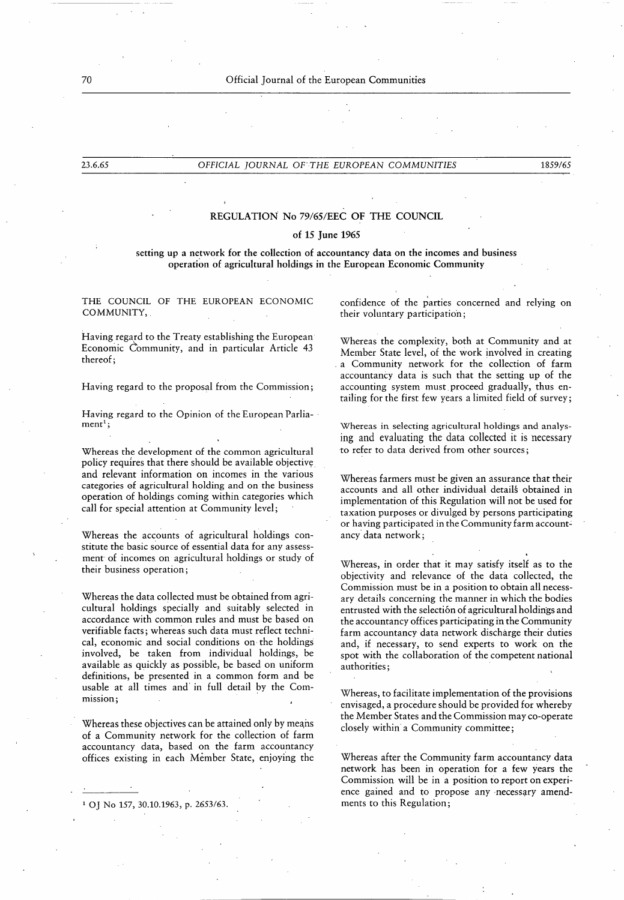### 70 Official Journal of the European Communities

### 23.6.65 OFFICIAL JOURNAL OFTHE EUROPEAN COMMUNITIES 1859/65

# REGULATION No 79/65/EEC OF THE COUNCIL

# of 15 June 1965

### setting up a network for the collection of accountancy data on the incomes and business operation of agricultural holdings in the European Economic Community

THE COUNCIL OF THE EUROPEAN ECONOMIC COMMUNITY, .

Having regard to the Treaty establishing the European Economic Community, and in particular Article 43 thereof ;

Having regard to the proposal from the Commission ;

Having regard to the Opinion of the European Parlia $ment<sup>1</sup>$ ;

Whereas the development of the common agricultural policy requires that there should be available objective and relevant information on incomes in the various categories of agricultural holding and on the business operation of holdings coming within categories which call for special attention at Community level;

Whereas the accounts of agricultural holdings constitute the basic source of essential data for any assessment of incomes on agricultural holdings or study of their business operation ;

Whereas the data collected must be obtained from agricultural holdings specially and suitably selected in accordance with common rules and must be based on verifiable facts ; whereas such data must reflect technical, economic and social conditions on the holdings involved, be taken from individual holdings, be available as quickly as possible, be based on uniform definitions, be presented in a common form and be usable at all times and in full detail by the Commission ;

Whereas these objectives can be attained only by means of a Community network for the collection of farm accountancy data, based on the farm accountancy offices existing in each Member State, enjoying the

<sup>1</sup> OJ No 157, 30.10.1963, p. 2653/63. The ments to this Regulation;

confidence of the parties concerned and relying on their voluntary participation ;

Whereas the complexity, both at Community and at Member State level, of the work involved in creating a Community network for the collection of farm accountancy data is such that the setting up of the accounting system must proceed gradually, thus entailing for the first few years a limited field of survey ;

Whereas in selecting agricultural holdings and analysing and evaluating the data collected it is necessary to refer to data derived from other sources ;

Whereas farmers must be given an assurance that their accounts and all other individual details obtained in implementation of this Regulation will not be used for taxation purposes or divulged by persons participating or having participated in the Community farm accountancy data network ;

Whereas, in order that it may satisfy itself as to the objectivity and relevance of the data collected, the Commission must be in a position to obtain all necessary details concerning the manner in which the bodies entrusted with the selection of agricultural holdings and the accountancy offices participating in the Community farm accountancy data network discharge their duties and, if necessary, to send experts to work on the spot with the collaboration of the competent national authorities ;

Whereas, to facilitate implementation of the provisions envisaged, a procedure should be provided for whereby the Member States and the Commission may co-operate closely within a Community committee ;

Whereas after the Community farm accountancy data network has been in operation for a few years the Commission will be in a position to report on experience gained and to propose any necessary amend-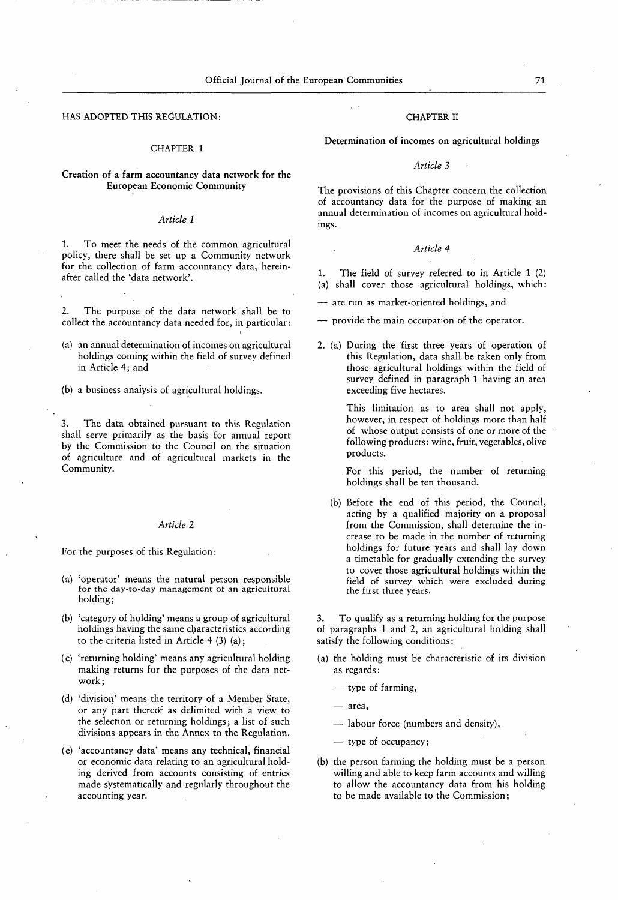HAS ADOPTED THIS REGULATION: THE CHAPTER II

#### CHAPTER <sup>1</sup>

# Creation of a farm accountancy data network for the European Economic Community The provisions of this Chapter concern the collection

### Article <sup>1</sup>

1. To meet the needs of the common agricultural policy, there shall be set up a Community network for the collection of farm accountancy data, hereinafter called the 'data network'.

2. The purpose of the data network shall be to collect the accountancy data needed for, in particular :

- (a) an annual determination of incomes on agricultural holdings coming within the field of survey defined in Article 4; and
- (b) a business analysis of agricultural holdings.

3. The data obtained pursuant to this Regulation shall serve primarily as the basis for annual report by the Commission to the Council on the situation of agriculture and of agricultural markets in the Community.

#### Article 2

For the purposes of this Regulation :

- ( a) 'operator' means the natural person responsible for the day-to-day management of an agricultural holding;
- (b) 'category of holding' means a group of agricultural holdings having the same characteristics according to the criteria listed in Article  $4$  (3) (a);
- ( c) 'returning holding' means any agricultural holding making returns for the purposes of the data network ;
- (d) 'division' means the territory of a Member State, or any part thereof as delimited with a view to the selection or returning holdings; a list of such divisions appears in the Annex to the Regulation.
- ( e) ' accountancy data' means any technical, financial or economic data relating to an agricultural holding derived from accounts consisting of entries made systematically and regularly throughout the accounting year.

Determination of incomes on agricultural holdings

### Article 3

of accountancy data for the purpose of making an annual determination of incomes on agricultural holdings.

#### Article 4

- 1. The field of survey referred to in Article 1 (2) (a) shall cover those agricultural holdings, which :
- are run as market-oriented holdings, and
- provide the main occupation of the operator.
- 2. (a) During the first three years of operation of this Regulation, data shall be taken only from those agricultural holdings within the field of survey defined in paragraph <sup>1</sup> having an area exceeding five hectares.

This limitation as to area shall not apply, however, in respect of holdings more than half of whose output consists of one or more of the following products : wine, fruit, vegetables, olive products.

For this period, the number of returning holdings shall be ten thousand.

(b) Before the end of this period, the Council, acting by a qualified majority on a proposal from the Commission, shall determine the increase to be made in the number of returning holdings for future years and shall lay down a timetable for gradually extending the survey to cover those agricultural holdings within the field of survey which were excluded during the first three years.

3. To qualify as a returning holding for the purpose of paragraphs <sup>1</sup> and 2, an agricultural holding shall satisfy the following conditions :

- ( a) the holding must be characteristic of its division as regards :
	- type of farming,
	- $-$  area.
	- labour force (numbers and density),
	- type of occupancy ;
- (b) the person farming the holding must be a person willing and able to keep farm accounts and willing to allow the accountancy data from his holding to be made available to the Commission ;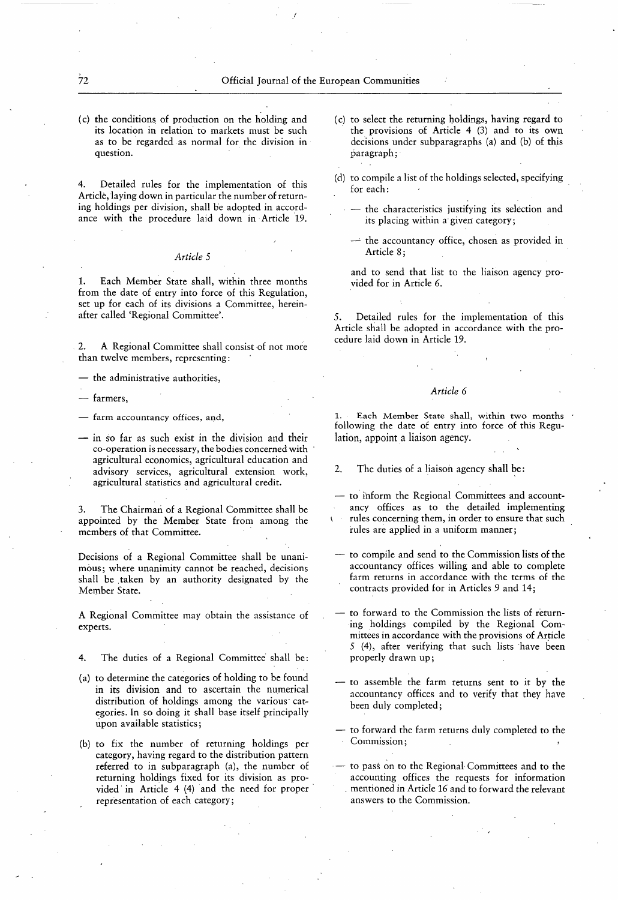( c) the conditions of production on the holding and its location in relation to markets must be such as to be regarded as normal for the division in question.

4. Detailed rules for the implementation of this Article, laying down in particular the number of returning holdings per division, shall be adopted in accordance with the procedure laid down in Article 19.

### Article 5

1. Each Member State shall, within three months from the date of entry into force of this Regulation, set up for each of its divisions a Committee, hereinafter called 'Regional Committee'.

2. A Regional Committee shall consist of not more than twelve members, representing :

— the administrative authorities,

farmers,

- farm accountancy offices, and,
- in so far as such exist in the division and their co-operation is necessary, the bodies concerned with agricultural economics, agricultural education and advisory services, agricultural extension work, agricultural statistics and agricultural credit.

3. The Chairman of a Regional Committee shall be appointed by the Member State from among the members of that Committee.

Decisions of a Regional Committee shall be unanimous; where unanimity cannot be reached, decisions shall be taken by an authority designated by the Member State.

A Regional Committee may obtain the assistance of experts.

- 4. The duties of a Regional Committee shall be :
- ( a) to determine the categories of holding to be found in its division and to ascertain the numerical distribution of holdings among the various categories. In so doing it shall base itself principally upon available statistics;
- (b) to fix the number of returning holdings per category, having regard to the distribution pattern referred to in subparagraph (a), the number of returning holdings fixed for its division as provided in Article 4 (4) and the need for proper representation of each category ;
- ( c) to select the returning holdings, having regard to the provisions of Article 4 (3) and to its own decisions under subparagraphs (a) and (b) of this paragraph ;
- (d) to compile a list of the holdings selected, specifying for each :
	- the characteristics justifying its selection and its placing within a given category ;
	- $-$  the accountancy office, chosen as provided in Article 8;
	- and to send that list to the liaison agency provided for in Article 6.

5. Detailed rules for the implementation of this Article shall be adopted in accordance with the procedure laid down in Article 19.

## Article 6

Each Member State shall, within two months following the date of entry into force of this Regulation, appoint a liaison agency.

- 2. The duties of a liaison agency shall be :
- to inform the Regional Committees and accountancy offices as to the detailed implementing rules concerning them, in order to ensure that such
	- rules are applied in a uniform manner;
- to compile and send to the Commission lists of the accountancy offices willing and able to complete farm returns in accordance with the terms of the contracts provided for in Articles 9 and 14 ;
- to forward to the Commission the lists of returning holdings compiled by the Regional Committees in accordance with the provisions of Article 5 (4), after verifying that such lists have been properly drawn up ;
- to assemble the farm returns sent to it by the accountancy offices and to verify that they have been duly completed ;
- to forward the farm returns duly completed to the Commission;
- to pass on to the Regional Committees and to the accounting offices the requests for information . mentioned in Article 16 and to forward the relevant answers to the Commission.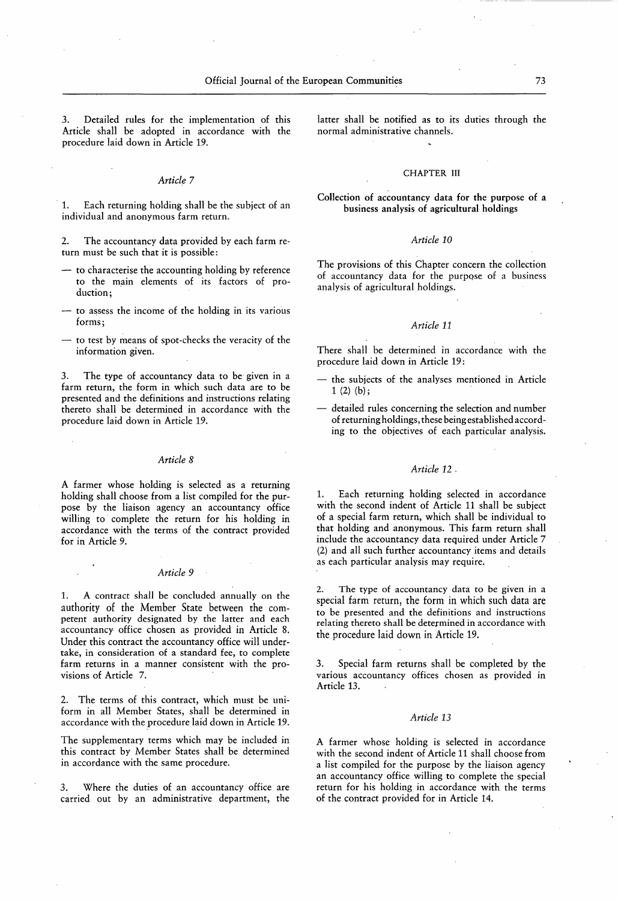Detailed rules for the implementation of this Article shall be adopted in accordance with the procedure laid down in Article 19.

#### Article 7

1. Each returning holding shall be the subject of an individual and anonymous farm return.

2. The accountancy data provided by each farm return must be such that it is possible :

- to characterise the accounting holding by reference to the main elements of its factors of production ;
- to assess the income of the holding in its various forms;
- to test by means of spot-checks the veracity of the information given.

3. The type of accountancy data to be given in a farm return, the form in which such data are to be presented and the definitions and instructions relating thereto shall be determined in accordance with the procedure laid down in Article 19.

#### Article 8

A farmer whose holding is selected as a returning holding shall choose from a list compiled for the purpose by the liaison agency an accountancy office willing to complete the return for his holding in accordance with the terms of the contract provided for in Article 9.

#### Article 9

1. A contract shall be concluded annually on the authority of the Member State between the competent authority designated by the latter and each accountancy office chosen as provided in Article 8. Under this contract the accountancy office will undertake, in consideration of a standard fee, to complete farm returns in a manner consistent with the provisions of Article 7.

2. The terms of this contract, which must be uniform in all Member States, shall be determined in accordance with the procedure laid down in Article 19.

The supplementary terms which may be included in this contract by Member States shall be determined in accordance with the same procedure.

3. Where the duties of an accountancy office are carried out by an administrative department, the latter shall be notified as to its duties through the normal administrative channels.

#### CHAPTER III

Collection of accountancy data for the purpose of a business analysis of agricultural holdings

#### Article 10

The provisions of this Chapter concern the collection of accountancy data for the purpose of a business analysis of agricultural holdings.

#### Article 11

There shall be determined in accordance with the procedure laid down in Article 19 :

- the subjects of the analyses mentioned in Article  $1(2)(b)$ ;
- detailed rules concerning the selection and number of returning holdings, these being established according to the objectives of each particular analysis.

#### Article 12 -

1. Each returning holding selected in accordance with the second indent of Article 11 shall be subject of a special farm return, which shall be individual to that holding and anonymous. This farm return shall include the accountancy data required under Article 7 (2) and all such further accountancy items and details as each particular analysis may require.

2. The type of accountancy data to be given in a special farm return, the form in which such data are to be presented and the definitions and instructions relating thereto shall be determined in accordance with the procedure laid down in Article 19.

3. Special farm returns shall be completed by the various accountancy offices chosen as provided in Article 13.

#### Article 13

A farmer whose holding is selected in accordance with the second indent of Article 11 shall choose from a list compiled for the purpose by the liaison agency an accountancy office willing to complete the special return for his holding in accordance with the terms of the contract provided for in Article 14.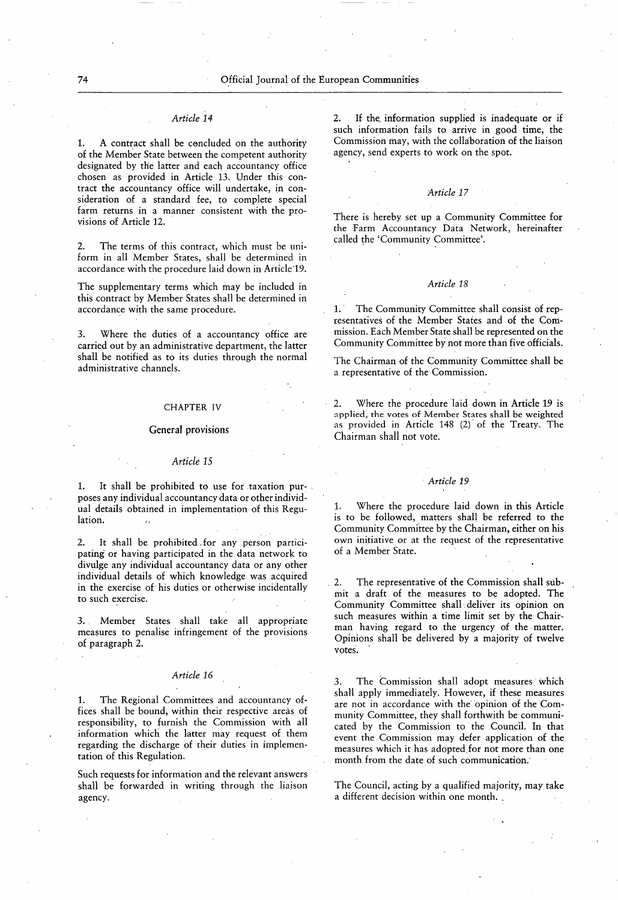1. A contract shall be concluded on the authority of the Member State between the competent authority designated by the latter and each accountancy office chosen as provided in Article 13 . Under this contract the accountancy office will undertake, in consideration of a standard fee, to complete special farm returns in a manner consistent with the provisions of Article 12.

2. The terms of this contract, which must be uniform in all Member States, shall be determined in accordance with the procedure laid down in Article 19.

The supplementary terms which may be included in this contract by Member States shall be determined in accordance with the same procedure.

3. Where the duties of a accountancy office are carried out by an administrative department, the latter shall be notified as to its duties through the normal administrative channels.

#### CHAPTER IV

#### General provisions

#### Article 15

1. It shall be prohibited to use for taxation purposes any individual accountancy data or other individual details obtained in implementation of this Regulation.

2. It shall be prohibited for any person participating or having participated in the data network to divulge any individual accountancy data or any other individual details of which knowledge was acquired in the exercise of his duties or otherwise incidentally to such exercise.

3. Member States shall take all appropriate measures to penalise infringement of the provisions of paragraph 2.

#### Article 16

1. The Regional Committees and accountancy offices shall be bound, within their respective areas of responsibility, to furnish the Commission with all information which the latter may request of them regarding the discharge of their duties in implementation of this Regulation.

Such requests for information and the relevant answers shall be forwarded in writing through the liaison agency.

Article 14 2. If the information supplied is inadequate or if such information fails to arrive in good time, the Commission may, with the collaboration of the liaison agency, send experts to work on the spot.

#### Article 17

There is hereby set up a Community Committee for the Farm Accountancy Data Network, hereinafter called the 'Community Committee'.

#### Article 18

The Community Committee shall consist of representatives of the Member States and of the Commission. Each Member State shall be represented on the Community Committee by not more than five officials.

The Chairman of the Community Committee shall be a representative of the Commission.

2. Where the procedure laid down in Article 19 is applied, the votes of Member States shall be weighted as provided in Article 148 (2) of the Treaty. The Chairman shall not vote.

1. Where the procedure laid down in this Article is to be followed, matters shall be referred to the Community Committee by the Chairman, either on his own initiative or at the request of the representative of a Member State.

2. The representative of the Commission shall submit a draft of the measures to be adopted. The Community Committee shall . deliver its opinion on such measures within a time limit set by the Chairman having regard to the urgency of the matter. Opinions shall be delivered by a majority of twelve votes.

3. The Commission shall adopt measures which shall apply immediately. However, if these measures are not in accordance with the opinion of the Community Committee, they shall forthwith be communicated by the Commission to the Council. In that event the Commission may defer application of the measures which it has adopted for not more than one month from the date of such communication.'

The Council, acting by a qualified majority, may take a different decision within one month. ,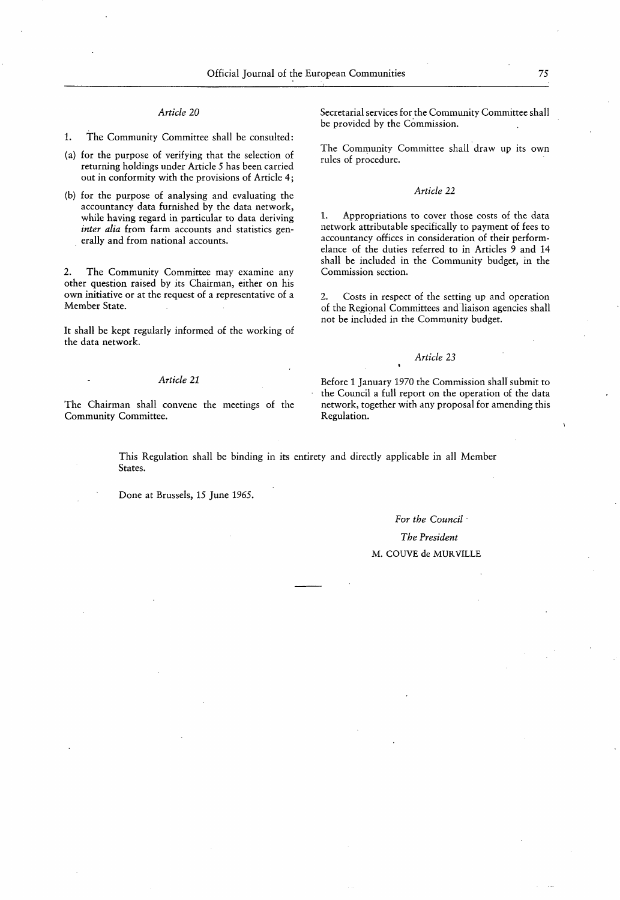1. The Community Committee shall be consulted:

- ( a) for the purpose of verifying that the selection of returning holdings under Article 5 has been carried out in conformity with the provisions of Article 4 ;
- (b) for the purpose of analysing and evaluating the accountancy data furnished by the data network, while having regard in particular to data deriving inter alia from farm accounts and statistics generally and from national accounts.

2. The Community Committee may examine any other question raised by its Chairman, either on his own initiative or at the request of a representative of a Member State.

It shall be kept regularly informed of the working of the data network.

The Chairman shall convene the meetings of the Community Committee.

Article 20 Secretarial services for the Community Committee shall be provided by the Commission.

> The Community Committee shall draw up its own rules of procedure.

#### Article 22

1. Appropriations to cover those costs of the data network attributable specifically to payment of fees to accountancy offices in consideration of their performelance of the duties referred to in Articles 9 and 14 shall be included in the Community budget, in the Commission section.

2. Costs in respect of the setting up and operation of the Regional Committees and liaison agencies shall not be included in the Community budget.

#### Article 23

Article 21 Before 1 January 1970 the Commission shall submit to the Council a full report on the operation of the data network, together with any proposal for amending this Regulation.

This Regulation shall be binding in its entirety and directly applicable in all Member States.

Done at Brussels, 15 June 1965.

# For the Council The President M. COUVE de MURVILLE